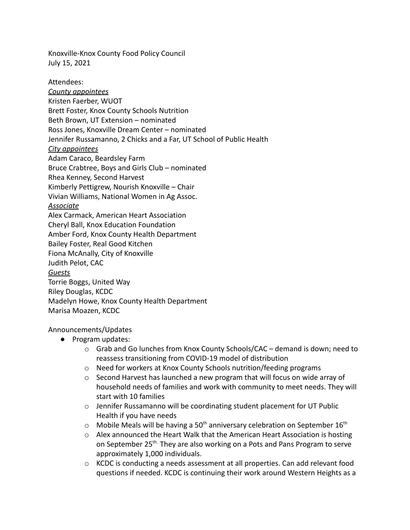Knoxville-Knox County Food Policy Council July 15, 2021

Attendees: *County appointees* Kristen Faerber, WUOT Brett Foster, Knox County Schools Nutrition Beth Brown, UT Extension – nominated Ross Jones, Knoxville Dream Center – nominated Jennifer Russamanno, 2 Chicks and a Far, UT School of Public Health *City appointees* Adam Caraco, Beardsley Farm Bruce Crabtree, Boys and Girls Club – nominated Rhea Kenney, Second Harvest Kimberly Pettigrew, Nourish Knoxville – Chair Vivian Williams, National Women in Ag Assoc. *Associate* Alex Carmack, American Heart Association Cheryl Ball, Knox Education Foundation Amber Ford, Knox County Health Department Bailey Foster, Real Good Kitchen Fiona McAnally, City of Knoxville Judith Pelot, CAC *Guests* Torrie Boggs, United Way Riley Douglas, KCDC Madelyn Howe, Knox County Health Department Marisa Moazen, KCDC

Announcements/Updates

- Program updates:
	- $\circ$  Grab and Go lunches from Knox County Schools/CAC demand is down; need to reassess transitioning from COVID-19 model of distribution
	- o Need for workers at Knox County Schools nutrition/feeding programs
	- $\circ$  Second Harvest has launched a new program that will focus on wide array of household needs of families and work with community to meet needs. They will start with 10 families
	- $\circ$  Jennifer Russamanno will be coordinating student placement for UT Public Health if you have needs
	- $\circ$  Mobile Meals will be having a 50<sup>th</sup> anniversary celebration on September 16<sup>th</sup>
	- o Alex announced the Heart Walk that the American Heart Association is hosting on September 25<sup>th.</sup> They are also working on a Pots and Pans Program to serve approximately 1,000 individuals.
	- o KCDC is conducting a needs assessment at all properties. Can add relevant food questions if needed. KCDC is continuing their work around Western Heights as a